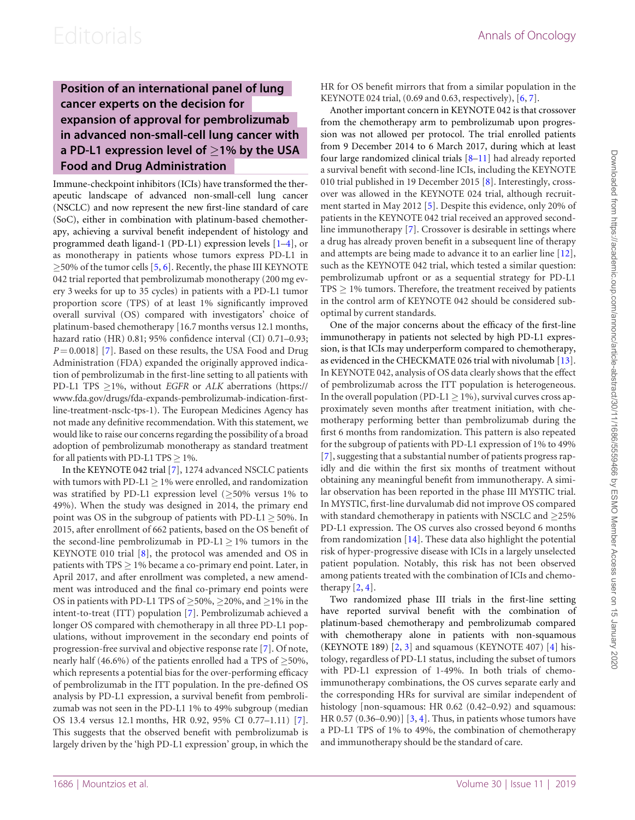### Position of an international panel of lung cancer experts on the decision for expansion of approval for pembrolizumab in advanced non-small-cell lung cancer with a PD-L1 expression level of  $\geq$ 1% by the USA Food and Drug Administration

Immune-checkpoint inhibitors (ICIs) have transformed the therapeutic landscape of advanced non-small-cell lung cancer (NSCLC) and now represent the new first-line standard of care (SoC), either in combination with platinum-based chemotherapy, achieving a survival benefit independent of histology and programmed death ligand-1 (PD-L1) expression levels [[1](#page-2-0)–[4](#page-2-0)], or as monotherapy in patients whose tumors express PD-L1 in  $\geq$ [5](#page-2-0)0% of the tumor cells [5, [6\]](#page-2-0). Recently, the phase III KEYNOTE 042 trial reported that pembrolizumab monotherapy (200 mg every 3 weeks for up to 35 cycles) in patients with a PD-L1 tumor proportion score (TPS) of at least 1% significantly improved overall survival (OS) compared with investigators' choice of platinum-based chemotherapy [16.7 months versus 12.1 months, hazard ratio (HR) 0.81; 95% confidence interval (CI) 0.71–0.93;  $P = 0.0018$ ] [[7](#page-2-0)]. Based on these results, the USA Food and Drug Administration (FDA) expanded the originally approved indication of pembrolizumab in the first-line setting to all patients with PD-L1 TPS  $\geq$ 1%, without *EGFR* or *ALK* aberrations [\(https://](https://www.fda.gov/drugs/fda-expands-pembrolizumab-indication-first-line-treatment-nsclc-tps-1) [www.fda.gov/drugs/fda-expands-pembrolizumab-indication-first](https://www.fda.gov/drugs/fda-expands-pembrolizumab-indication-first-line-treatment-nsclc-tps-1)[line-treatment-nsclc-tps-1](https://www.fda.gov/drugs/fda-expands-pembrolizumab-indication-first-line-treatment-nsclc-tps-1)). The European Medicines Agency has not made any definitive recommendation. With this statement, we would like to raise our concerns regarding the possibility of a broad adoption of pembrolizumab monotherapy as standard treatment for all patients with PD-L1 TPS  $\geq$  1%.

In the KEYNOTE 042 trial [\[7](#page-2-0)], 1274 advanced NSCLC patients with tumors with PD-L1  $\geq$  1% were enrolled, and randomization was stratified by PD-L1 expression level ( $\geq$ 50% versus 1% to 49%). When the study was designed in 2014, the primary end point was OS in the subgroup of patients with  $PD-L1 \geq 50\%$ . In 2015, after enrollment of 662 patients, based on the OS benefit of the second-line pembrolizumab in PD-L $1 \geq 1\%$  tumors in the KEYNOTE 010 trial [\[8\]](#page-2-0), the protocol was amended and OS in patients with TPS  $\geq$  1% became a co-primary end point. Later, in April 2017, and after enrollment was completed, a new amendment was introduced and the final co-primary end points were OS in patients with PD-L1 TPS of  $\geq$ 50%,  $\geq$ 20%, and  $\geq$ 1% in the intent-to-treat (ITT) population [\[7\]](#page-2-0). Pembrolizumab achieved a longer OS compared with chemotherapy in all three PD-L1 populations, without improvement in the secondary end points of progression-free survival and objective response rate [[7\]](#page-2-0). Of note, nearly half (46.6%) of the patients enrolled had a TPS of  $\geq$ 50%, which represents a potential bias for the over-performing efficacy of pembrolizumab in the ITT population. In the pre-defined OS analysis by PD-L1 expression, a survival benefit from pembrolizumab was not seen in the PD-L1 1% to 49% subgroup (median OS 13.4 versus 12.1 months, HR 0.92, 95% CI 0.77–1.11) [[7](#page-2-0)]. This suggests that the observed benefit with pembrolizumab is largely driven by the 'high PD-L1 expression' group, in which the

HR for OS benefit mirrors that from a similar population in the KEYNOTE 024 trial, (0.69 and 0.63, respectively), [[6](#page-2-0), [7\]](#page-2-0).

Another important concern in KEYNOTE 042 is that crossover from the chemotherapy arm to pembrolizumab upon progression was not allowed per protocol. The trial enrolled patients from 9 December 2014 to 6 March 2017, during which at least four large randomized clinical trials [[8–11](#page-2-0)] had already reported a survival benefit with second-line ICIs, including the KEYNOTE 010 trial published in 19 December 2015 [\[8\]](#page-2-0). Interestingly, crossover was allowed in the KEYNOTE 024 trial, although recruitment started in May 2012 [\[5](#page-2-0)]. Despite this evidence, only 20% of patients in the KEYNOTE 042 trial received an approved secondline immunotherapy [\[7\]](#page-2-0). Crossover is desirable in settings where a drug has already proven benefit in a subsequent line of therapy and attempts are being made to advance it to an earlier line [[12\]](#page-2-0), such as the KEYNOTE 042 trial, which tested a similar question: pembrolizumab upfront or as a sequential strategy for PD-L1  $TPS \geq 1\%$  tumors. Therefore, the treatment received by patients in the control arm of KEYNOTE 042 should be considered suboptimal by current standards.

One of the major concerns about the efficacy of the first-line immunotherapy in patients not selected by high PD-L1 expression, is that ICIs may underperform compared to chemotherapy, as evidenced in the CHECKMATE 026 trial with nivolumab [[13\]](#page-2-0). In KEYNOTE 042, analysis of OS data clearly shows that the effect of pembrolizumab across the ITT population is heterogeneous. In the overall population (PD-L1  $\geq$  1%), survival curves cross approximately seven months after treatment initiation, with chemotherapy performing better than pembrolizumab during the first 6 months from randomization. This pattern is also repeated for the subgroup of patients with PD-L1 expression of 1% to 49% [[7](#page-2-0)], suggesting that a substantial number of patients progress rapidly and die within the first six months of treatment without obtaining any meaningful benefit from immunotherapy. A similar observation has been reported in the phase III MYSTIC trial. In MYSTIC, first-line durvalumab did not improve OS compared with standard chemotherapy in patients with NSCLC and  $\geq$ 25% PD-L1 expression. The OS curves also crossed beyond 6 months from randomization [\[14](#page-2-0)]. These data also highlight the potential risk of hyper-progressive disease with ICIs in a largely unselected patient population. Notably, this risk has not been observed among patients treated with the combination of ICIs and chemotherapy  $[2, 4]$  $[2, 4]$  $[2, 4]$  $[2, 4]$ .

Two randomized phase III trials in the first-line setting have reported survival benefit with the combination of platinum-based chemotherapy and pembrolizumab compared with chemotherapy alone in patients with non-squamous (KEYNOTE 189)  $[2, 3]$  $[2, 3]$  $[2, 3]$  $[2, 3]$  and squamous (KEYNOTE [4](#page-2-0)07)  $[4]$  histology, regardless of PD-L1 status, including the subset of tumors with PD-L1 expression of 1-49%. In both trials of chemoimmunotherapy combinations, the OS curves separate early and the corresponding HRs for survival are similar independent of histology [non-squamous: HR 0.62 (0.42–0.92) and squamous: HR 0.57 (0.[3](#page-2-0)6–0.90)]  $[3, 4]$  $[3, 4]$ . Thus, in patients whose tumors have a PD-L1 TPS of 1% to 49%, the combination of chemotherapy and immunotherapy should be the standard of care.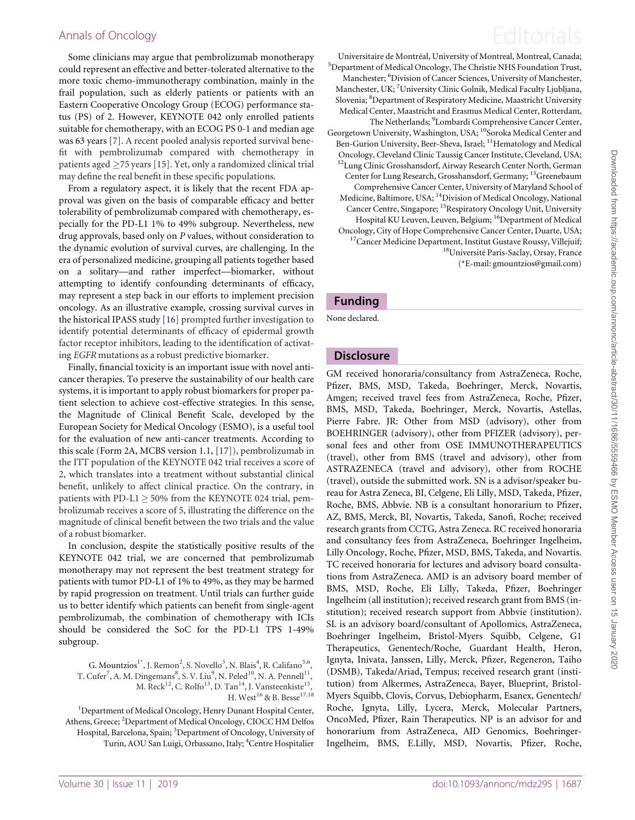Some clinicians may argue that pembrolizumab monotherapy could represent an effective and better-tolerated alternative to the more toxic chemo-immunotherapy combination, mainly in the frail population, such as elderly patients or patients with an Eastern Cooperative Oncology Group (ECOG) performance status (PS) of 2. However, KEYNOTE 042 only enrolled patients suitable for chemotherapy, with an ECOG PS 0-1 and median age was 63 years [[7](#page-2-0)]. A recent pooled analysis reported survival benefit with pembrolizumab compared with chemotherapy in patients aged  $\geq$ 75 years [\[15](#page-2-0)]. Yet, only a randomized clinical trial may define the real benefit in these specific populations.

From a regulatory aspect, it is likely that the recent FDA approval was given on the basis of comparable efficacy and better tolerability of pembrolizumab compared with chemotherapy, especially for the PD-L1 1% to 49% subgroup. Nevertheless, new drug approvals, based only on P values, without consideration to the dynamic evolution of survival curves, are challenging. In the era of personalized medicine, grouping all patients together based on a solitary—and rather imperfect—biomarker, without attempting to identify confounding determinants of efficacy, may represent a step back in our efforts to implement precision oncology. As an illustrative example, crossing survival curves in the historical IPASS study [\[16](#page-2-0)] prompted further investigation to identify potential determinants of efficacy of epidermal growth factor receptor inhibitors, leading to the identification of activating EGFR mutations as a robust predictive biomarker.

Finally, financial toxicity is an important issue with novel anticancer therapies. To preserve the sustainability of our health care systems, it is important to apply robust biomarkers for proper patient selection to achieve cost-effective strategies. In this sense, the Magnitude of Clinical Benefit Scale, developed by the European Society for Medical Oncology (ESMO), is a useful tool for the evaluation of new anti-cancer treatments. According to this scale (Form 2A, MCBS version 1.1, [\[17\]](#page-2-0)), pembrolizumab in the ITT population of the KEYNOTE 042 trial receives a score of 2, which translates into a treatment without substantial clinical benefit, unlikely to affect clinical practice. On the contrary, in patients with PD-L1  $\geq$  50% from the KEYNOTE 024 trial, pembrolizumab receives a score of 5, illustrating the difference on the magnitude of clinical benefit between the two trials and the value of a robust biomarker.

In conclusion, despite the statistically positive results of the KEYNOTE 042 trial, we are concerned that pembrolizumab monotherapy may not represent the best treatment strategy for patients with tumor PD-L1 of 1% to 49%, as they may be harmed by rapid progression on treatment. Until trials can further guide us to better identify which patients can benefit from single-agent pembrolizumab, the combination of chemotherapy with ICIs should be considered the SoC for the PD-L1 TPS 1-49% subgroup.

G. Mountzios<sup>1\*</sup>, J. Remon<sup>2</sup>, S. Novello<sup>3</sup>, N. Blais<sup>4</sup>, R. Califano<sup>5,6</sup>, T. Cufer<sup>7</sup>, A. M. Dingemans $^8$ , S. V. Liu $^9$ , N. Peled $^{10}$ , N. A. Pennell $^{11}$ , M. Reck<sup>12</sup>, C. Rolfo<sup>13</sup>, D. Tan<sup>14</sup>, J. Vansteenkiste<sup>15</sup>, H. West<sup>16</sup> & B. Besse<sup>17,18</sup>

<sup>1</sup>Department of Medical Oncology, Henry Dunant Hospital Center, Athens, Greece; <sup>2</sup>Department of Medical Oncology, CIOCC HM Delfos Hospital, Barcelona, Spain; <sup>3</sup>Department of Oncology, University of Turin, AOU San Luigi, Orbassano, Italy; <sup>4</sup> Centre Hospitalier

# Annals of Oncology **Editorials**

Universitaire de Montréal, University of Montreal, Montreal, Canada; <sup>5</sup>Department of Medical Oncology, The Christie NHS Foundation Trust, Manchester; <sup>6</sup>Division of Cancer Sciences, University of Manchester, Manchester, UK; <sup>7</sup>University Clinic Golnik, Medical Faculty Ljubljana, Slovenia; <sup>8</sup>Department of Respiratory Medicine, Maastricht University Medical Center, Maastricht and Erasmus Medical Center, Rotterdam, The Netherlands; <sup>9</sup>Lombardi Comprehensive Cancer Center, Georgetown University, Washington, USA; <sup>10</sup>Soroka Medical Center and Ben-Gurion University, Beer-Sheva, Israel; <sup>11</sup>Hematology and Medical Oncology, Cleveland Clinic Taussig Cancer Institute, Cleveland, USA; <sup>12</sup>Lung Clinic Grosshansdorf, Airway Research Center North, German Center for Lung Research, Grosshansdorf, Germany; <sup>13</sup>Greenebaum Comprehensive Cancer Center, University of Maryland School of Medicine, Baltimore, USA; 14Division of Medical Oncology, National Cancer Centre, Singapore; 15Respiratory Oncology Unit, University Hospital KU Leuven, Leuven, Belgium; <sup>16</sup>Department of Medical Oncology, City of Hope Comprehensive Cancer Center, Duarte, USA; 17Cancer Medicine Department, Institut Gustave Roussy, Villejuif; 18Universite´ Paris-Saclay, Orsay, France (\*E-mail: gmountzios@gmail.com)

#### Funding

None declared.

#### **Disclosure**

GM received honoraria/consultancy from AstraZeneca, Roche, Pfizer, BMS, MSD, Takeda, Boehringer, Merck, Novartis, Amgen; received travel fees from AstraZeneca, Roche, Pfizer, BMS, MSD, Takeda, Boehringer, Merck, Novartis, Astellas, Pierre Fabre. JR: Other from MSD (advisory), other from BOEHRINGER (advisory), other from PFIZER (advisory), personal fees and other from OSE IMMUNOTHERAPEUTICS (travel), other from BMS (travel and advisory), other from ASTRAZENECA (travel and advisory), other from ROCHE (travel), outside the submitted work. SN is a advisor/speaker bureau for Astra Zeneca, BI, Celgene, Eli Lilly, MSD, Takeda, Pfizer, Roche, BMS, Abbvie. NB is a consultant honorarium to Pfizer, AZ, BMS, Merck, BI, Novartis, Takeda, Sanofi, Roche; received research grants from CCTG, Astra Zeneca. RC received honoraria and consultancy fees from AstraZeneca, Boehringer Ingelheim, Lilly Oncology, Roche, Pfizer, MSD, BMS, Takeda, and Novartis. TC received honoraria for lectures and advisory board consultations from AstraZeneca. AMD is an advisory board member of BMS, MSD, Roche, Eli Lilly, Takeda, Pfizer, Boehringer Ingelheim (all institution); received research grant from BMS (institution); received research support from Abbvie (institution). SL is an advisory board/consultant of Apollomics, AstraZeneca, Boehringer Ingelheim, Bristol-Myers Squibb, Celgene, G1 Therapeutics, Genentech/Roche, Guardant Health, Heron, Ignyta, Inivata, Janssen, Lilly, Merck, Pfizer, Regeneron, Taiho (DSMB), Takeda/Ariad, Tempus; received research grant (institution) from Alkermes, AstraZeneca, Bayer, Blueprint, Bristol-Myers Squibb, Clovis, Corvus, Debiopharm, Esanex, Genentech/ Roche, Ignyta, Lilly, Lycera, Merck, Molecular Partners, OncoMed, Pfizer, Rain Therapeutics. NP is an advisor for and honorarium from AstraZeneca, AID Genomics, Boehringer-Ingelheim, BMS, E.Lilly, MSD, Novartis, Pfizer, Roche,